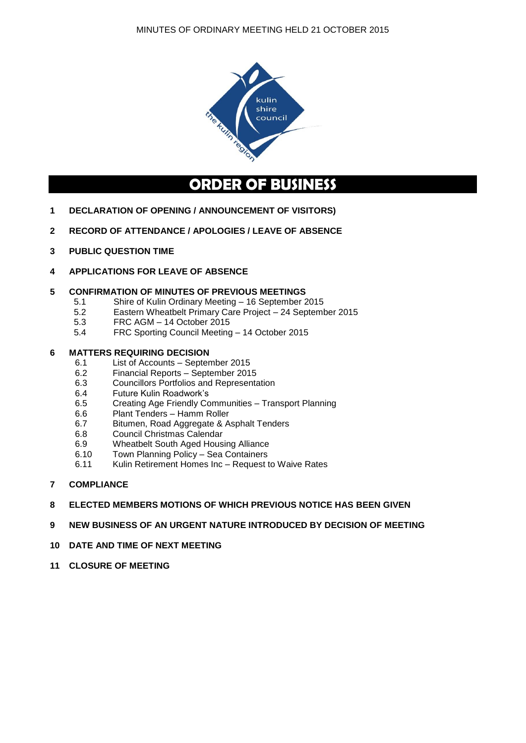

# **ORDER OF BUSINESS**

- **1 DECLARATION OF OPENING / ANNOUNCEMENT OF VISITORS)**
- **2 RECORD OF ATTENDANCE / APOLOGIES / LEAVE OF ABSENCE**
- **3 PUBLIC QUESTION TIME**
- **4 APPLICATIONS FOR LEAVE OF ABSENCE**

## **5 CONFIRMATION OF MINUTES OF PREVIOUS MEETINGS**

- 5.1 Shire of Kulin Ordinary Meeting 16 September 2015
- 5.2 Eastern Wheatbelt Primary Care Project 24 September 2015
- 5.3 FRC AGM 14 October 2015<br>5.4 FRC Sporting Council Meeting
- 5.4 FRC Sporting Council Meeting 14 October 2015

# **6 MATTERS REQUIRING DECISION**

- List of Accounts September 2015
- 6.2 Financial Reports September 2015<br>6.3 Councillors Portfolios and Representa
- 6.3 Councillors Portfolios and Representation
- 6.4 Future Kulin Roadwork's
- 6.5 Creating Age Friendly Communities Transport Planning
- 6.6 Plant Tenders Hamm Roller
- 6.7 Bitumen, Road Aggregate & Asphalt Tenders
- 6.8 Council Christmas Calendar
- 6.9 Wheatbelt South Aged Housing Alliance
- 6.10 Town Planning Policy Sea Containers
- 6.11 Kulin Retirement Homes Inc Request to Waive Rates
- **7 COMPLIANCE**

## **8 ELECTED MEMBERS MOTIONS OF WHICH PREVIOUS NOTICE HAS BEEN GIVEN**

- **9 NEW BUSINESS OF AN URGENT NATURE INTRODUCED BY DECISION OF MEETING**
- **10 DATE AND TIME OF NEXT MEETING**
- **11 CLOSURE OF MEETING**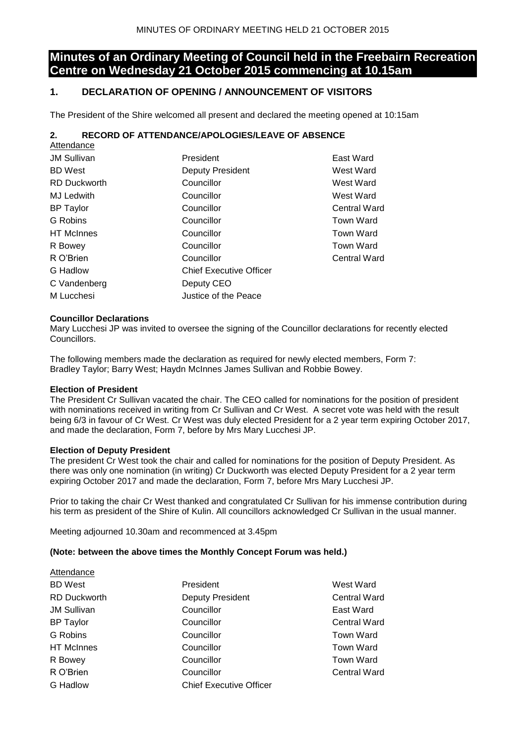## **Minutes of an Ordinary Meeting of Council held in the Freebairn Recreation Centre on Wednesday 21 October 2015 commencing at 10.15am**

## **1. DECLARATION OF OPENING / ANNOUNCEMENT OF VISITORS**

The President of the Shire welcomed all present and declared the meeting opened at 10:15am

## **2. RECORD OF ATTENDANCE/APOLOGIES/LEAVE OF ABSENCE**

| Attendance          |                                |                     |
|---------------------|--------------------------------|---------------------|
| <b>JM Sullivan</b>  | President                      | East Ward           |
| <b>BD</b> West      | Deputy President               | West Ward           |
| <b>RD</b> Duckworth | Councillor                     | West Ward           |
| <b>MJ Ledwith</b>   | Councillor                     | West Ward           |
| <b>BP Taylor</b>    | Councillor                     | <b>Central Ward</b> |
| G Robins            | Councillor                     | Town Ward           |
| <b>HT</b> McInnes   | Councillor                     | <b>Town Ward</b>    |
| R Bowey             | Councillor                     | <b>Town Ward</b>    |
| R O'Brien           | Councillor                     | <b>Central Ward</b> |
| G Hadlow            | <b>Chief Executive Officer</b> |                     |
| C Vandenberg        | Deputy CEO                     |                     |
| M Lucchesi          | Justice of the Peace           |                     |

## **Councillor Declarations**

Mary Lucchesi JP was invited to oversee the signing of the Councillor declarations for recently elected Councillors.

The following members made the declaration as required for newly elected members, Form 7: Bradley Taylor; Barry West; Haydn McInnes James Sullivan and Robbie Bowey.

## **Election of President**

The President Cr Sullivan vacated the chair. The CEO called for nominations for the position of president with nominations received in writing from Cr Sullivan and Cr West. A secret vote was held with the result being 6/3 in favour of Cr West. Cr West was duly elected President for a 2 year term expiring October 2017, and made the declaration, Form 7, before by Mrs Mary Lucchesi JP.

## **Election of Deputy President**

The president Cr West took the chair and called for nominations for the position of Deputy President. As there was only one nomination (in writing) Cr Duckworth was elected Deputy President for a 2 year term expiring October 2017 and made the declaration, Form 7, before Mrs Mary Lucchesi JP.

Prior to taking the chair Cr West thanked and congratulated Cr Sullivan for his immense contribution during his term as president of the Shire of Kulin. All councillors acknowledged Cr Sullivan in the usual manner.

Meeting adjourned 10.30am and recommenced at 3.45pm

## **(Note: between the above times the Monthly Concept Forum was held.)**

| Attendance          |                                |                     |
|---------------------|--------------------------------|---------------------|
| <b>BD</b> West      | President                      | West Ward           |
| <b>RD Duckworth</b> | Deputy President               | <b>Central Ward</b> |
| <b>JM Sullivan</b>  | Councillor                     | East Ward           |
| <b>BP</b> Taylor    | Councillor                     | <b>Central Ward</b> |
| G Robins            | Councillor                     | <b>Town Ward</b>    |
| <b>HT</b> McInnes   | Councillor                     | <b>Town Ward</b>    |
| R Bowey             | Councillor                     | <b>Town Ward</b>    |
| R O'Brien           | Councillor                     | <b>Central Ward</b> |
| G Hadlow            | <b>Chief Executive Officer</b> |                     |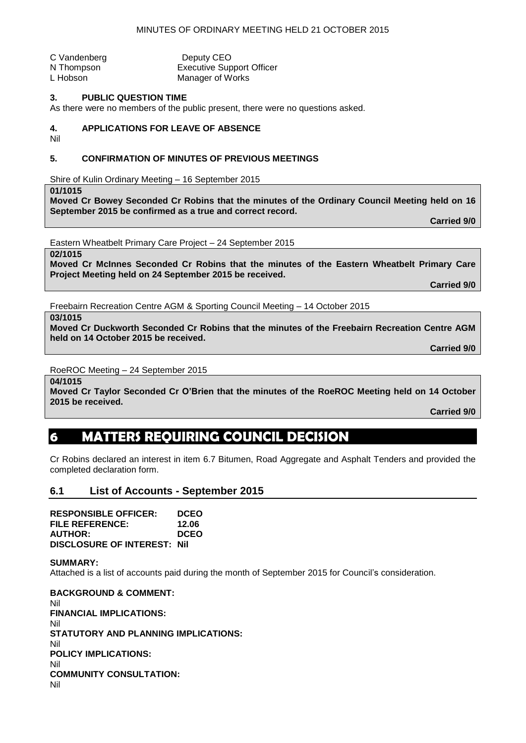| C Vandenberg | Deputy CEO                       |
|--------------|----------------------------------|
| N Thompson   | <b>Executive Support Officer</b> |
| L Hobson     | Manager of Works                 |

## **3. PUBLIC QUESTION TIME**

As there were no members of the public present, there were no questions asked.

## **4. APPLICATIONS FOR LEAVE OF ABSENCE**

Nil

## **5. CONFIRMATION OF MINUTES OF PREVIOUS MEETINGS**

Shire of Kulin Ordinary Meeting – 16 September 2015

**01/1015**

**Moved Cr Bowey Seconded Cr Robins that the minutes of the Ordinary Council Meeting held on 16 September 2015 be confirmed as a true and correct record.**

**Carried 9/0**

Eastern Wheatbelt Primary Care Project – 24 September 2015

**02/1015**

**Moved Cr McInnes Seconded Cr Robins that the minutes of the Eastern Wheatbelt Primary Care Project Meeting held on 24 September 2015 be received.**

**Carried 9/0**

Freebairn Recreation Centre AGM & Sporting Council Meeting – 14 October 2015

**03/1015**

**Moved Cr Duckworth Seconded Cr Robins that the minutes of the Freebairn Recreation Centre AGM held on 14 October 2015 be received.**

**Carried 9/0**

RoeROC Meeting – 24 September 2015

**04/1015 Moved Cr Taylor Seconded Cr O'Brien that the minutes of the RoeROC Meeting held on 14 October 2015 be received.**

**Carried 9/0**

## **6 MATTERS REQUIRING COUNCIL DECISION**

Cr Robins declared an interest in item 6.7 Bitumen, Road Aggregate and Asphalt Tenders and provided the completed declaration form.

## **6.1 List of Accounts - September 2015**

| <b>RESPONSIBLE OFFICER:</b>        | <b>DCEO</b> |
|------------------------------------|-------------|
| FILE REFERENCE:                    | 12.06       |
| <b>AUTHOR:</b>                     | <b>DCEO</b> |
| <b>DISCLOSURE OF INTEREST: Nil</b> |             |

## **SUMMARY:**

Attached is a list of accounts paid during the month of September 2015 for Council's consideration.

**BACKGROUND & COMMENT:** Nil **FINANCIAL IMPLICATIONS:** Nil **STATUTORY AND PLANNING IMPLICATIONS:** Nil **POLICY IMPLICATIONS:** Nil **COMMUNITY CONSULTATION:** Nil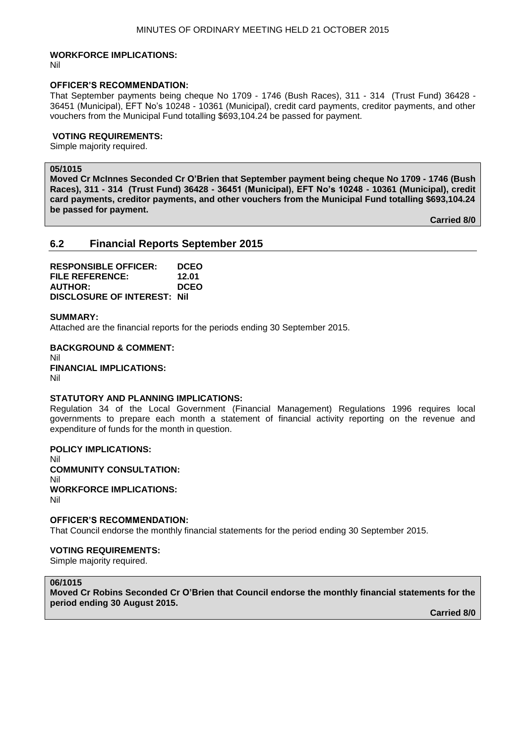## **WORKFORCE IMPLICATIONS:**

Nil

## **OFFICER'S RECOMMENDATION:**

That September payments being cheque No 1709 - 1746 (Bush Races), 311 - 314 (Trust Fund) 36428 - 36451 (Municipal), EFT No's 10248 - 10361 (Municipal), credit card payments, creditor payments, and other vouchers from the Municipal Fund totalling \$693,104.24 be passed for payment.

#### **VOTING REQUIREMENTS:**

Simple majority required.

## **05/1015**

**Moved Cr McInnes Seconded Cr O'Brien that September payment being cheque No 1709 - 1746 (Bush Races), 311 - 314 (Trust Fund) 36428 - 36451 (Municipal), EFT No's 10248 - 10361 (Municipal), credit card payments, creditor payments, and other vouchers from the Municipal Fund totalling \$693,104.24 be passed for payment.**

**Carried 8/0**

## **6.2 Financial Reports September 2015**

| <b>RESPONSIBLE OFFICER:</b>        | <b>DCEO</b> |
|------------------------------------|-------------|
| FILE REFERENCE:                    | 12.01       |
| <b>AUTHOR:</b>                     | <b>DCEO</b> |
| <b>DISCLOSURE OF INTEREST: Nil</b> |             |

## **SUMMARY:**

Attached are the financial reports for the periods ending 30 September 2015.

**BACKGROUND & COMMENT:** Nil **FINANCIAL IMPLICATIONS:** Nil

## **STATUTORY AND PLANNING IMPLICATIONS:**

Regulation 34 of the Local Government (Financial Management) Regulations 1996 requires local governments to prepare each month a statement of financial activity reporting on the revenue and expenditure of funds for the month in question.

**POLICY IMPLICATIONS:** Nil **COMMUNITY CONSULTATION:** Nil **WORKFORCE IMPLICATIONS:** Nil

#### **OFFICER'S RECOMMENDATION:**

That Council endorse the monthly financial statements for the period ending 30 September 2015.

## **VOTING REQUIREMENTS:**

Simple majority required.

## **06/1015**

**Moved Cr Robins Seconded Cr O'Brien that Council endorse the monthly financial statements for the period ending 30 August 2015.**

**Carried 8/0**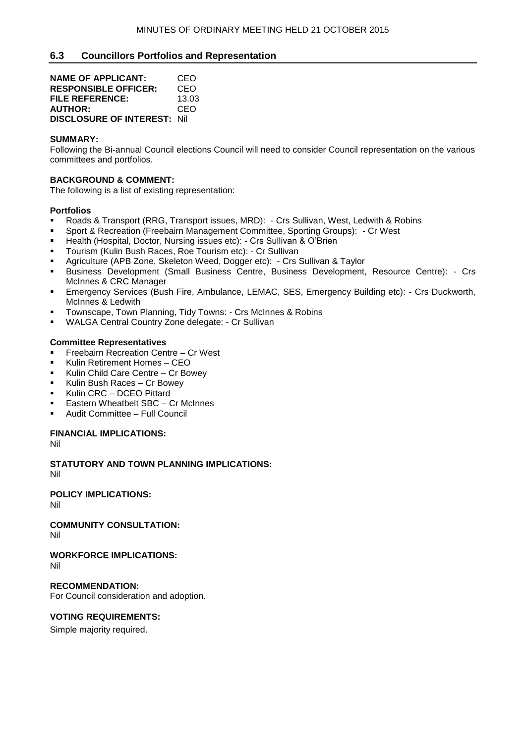## **6.3 Councillors Portfolios and Representation**

| <b>NAME OF APPLICANT:</b>           | CEO   |
|-------------------------------------|-------|
| <b>RESPONSIBLE OFFICER:</b>         | CEO   |
| <b>FILE REFERENCE:</b>              | 13.03 |
| <b>AUTHOR:</b>                      | CEO   |
| <b>DISCLOSURE OF INTEREST: Nill</b> |       |

## **SUMMARY:**

Following the Bi-annual Council elections Council will need to consider Council representation on the various committees and portfolios.

## **BACKGROUND & COMMENT:**

The following is a list of existing representation:

## **Portfolios**

- Roads & Transport (RRG, Transport issues, MRD): Crs Sullivan, West, Ledwith & Robins
- Sport & Recreation (Freebairn Management Committee, Sporting Groups): Cr West
- Health (Hospital, Doctor, Nursing issues etc): Crs Sullivan & O'Brien
- Tourism (Kulin Bush Races, Roe Tourism etc): Cr Sullivan
- Agriculture (APB Zone, Skeleton Weed, Dogger etc): Crs Sullivan & Taylor
- Business Development (Small Business Centre, Business Development, Resource Centre): Crs McInnes & CRC Manager
- Emergency Services (Bush Fire, Ambulance, LEMAC, SES, Emergency Building etc): Crs Duckworth, McInnes & Ledwith
- Townscape, Town Planning, Tidy Towns: Crs McInnes & Robins
- WALGA Central Country Zone delegate: Cr Sullivan

## **Committee Representatives**

- **Freebairn Recreation Centre Cr West**
- Kulin Retirement Homes CEO
- **Kulin Child Care Centre Cr Bowey**
- Kulin Bush Races Cr Bowey
- **Kulin CRC DCEO Pittard**
- Eastern Wheatbelt SBC Cr McInnes
- Audit Committee Full Council

## **FINANCIAL IMPLICATIONS:**

Nil

**STATUTORY AND TOWN PLANNING IMPLICATIONS:** Nil

## **POLICY IMPLICATIONS:**

Nil

## **COMMUNITY CONSULTATION:**

Nil

## **WORKFORCE IMPLICATIONS:**

Nil

## **RECOMMENDATION:**

For Council consideration and adoption.

## **VOTING REQUIREMENTS:**

Simple majority required.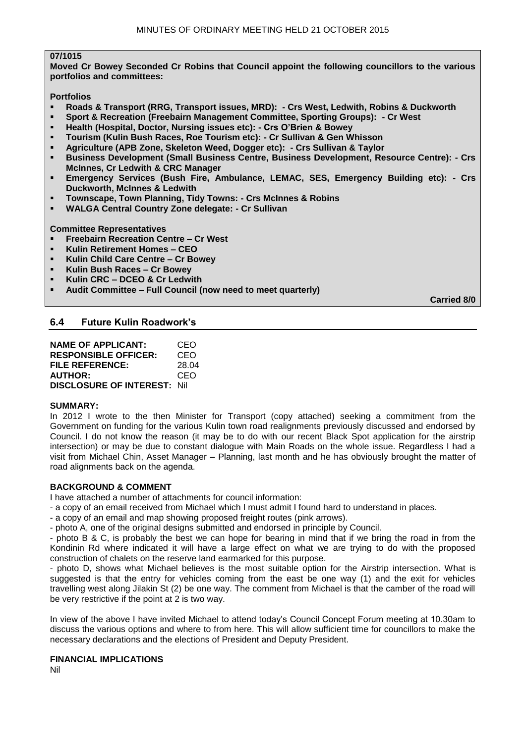## **07/1015**

**Moved Cr Bowey Seconded Cr Robins that Council appoint the following councillors to the various portfolios and committees:**

**Portfolios**

- **Roads & Transport (RRG, Transport issues, MRD): - Crs West, Ledwith, Robins & Duckworth**
- **Sport & Recreation (Freebairn Management Committee, Sporting Groups): - Cr West**
- **Health (Hospital, Doctor, Nursing issues etc): - Crs O'Brien & Bowey**
- **Tourism (Kulin Bush Races, Roe Tourism etc): - Cr Sullivan & Gen Whisson**
- **Agriculture (APB Zone, Skeleton Weed, Dogger etc): - Crs Sullivan & Taylor**
- **Business Development (Small Business Centre, Business Development, Resource Centre): - Crs McInnes, Cr Ledwith & CRC Manager**
- **Emergency Services (Bush Fire, Ambulance, LEMAC, SES, Emergency Building etc): - Crs Duckworth, McInnes & Ledwith**
- **Townscape, Town Planning, Tidy Towns: - Crs McInnes & Robins**
- **WALGA Central Country Zone delegate: - Cr Sullivan**

**Committee Representatives**

- **Freebairn Recreation Centre – Cr West**
- **Kulin Retirement Homes – CEO**
- **Kulin Child Care Centre – Cr Bowey**
- **Kulin Bush Races – Cr Bowey**
- **Kulin CRC – DCEO & Cr Ledwith**
- **Audit Committee – Full Council (now need to meet quarterly)**

**Carried 8/0**

## **6.4 Future Kulin Roadwork's**

| <b>NAME OF APPLICANT:</b>           | CEO   |
|-------------------------------------|-------|
| <b>RESPONSIBLE OFFICER:</b>         | CEO   |
| FILE REFERENCE:                     | 28.04 |
| <b>AUTHOR:</b>                      | CEO   |
| <b>DISCLOSURE OF INTEREST: Nill</b> |       |

## **SUMMARY:**

In 2012 I wrote to the then Minister for Transport (copy attached) seeking a commitment from the Government on funding for the various Kulin town road realignments previously discussed and endorsed by Council. I do not know the reason (it may be to do with our recent Black Spot application for the airstrip intersection) or may be due to constant dialogue with Main Roads on the whole issue. Regardless I had a visit from Michael Chin, Asset Manager – Planning, last month and he has obviously brought the matter of road alignments back on the agenda.

## **BACKGROUND & COMMENT**

I have attached a number of attachments for council information:

- a copy of an email received from Michael which I must admit I found hard to understand in places.
- a copy of an email and map showing proposed freight routes (pink arrows).
- photo A, one of the original designs submitted and endorsed in principle by Council.

- photo B & C, is probably the best we can hope for bearing in mind that if we bring the road in from the Kondinin Rd where indicated it will have a large effect on what we are trying to do with the proposed construction of chalets on the reserve land earmarked for this purpose.

- photo D, shows what Michael believes is the most suitable option for the Airstrip intersection. What is suggested is that the entry for vehicles coming from the east be one way (1) and the exit for vehicles travelling west along Jilakin St (2) be one way. The comment from Michael is that the camber of the road will be very restrictive if the point at 2 is two way.

In view of the above I have invited Michael to attend today's Council Concept Forum meeting at 10.30am to discuss the various options and where to from here. This will allow sufficient time for councillors to make the necessary declarations and the elections of President and Deputy President.

## **FINANCIAL IMPLICATIONS**

Nil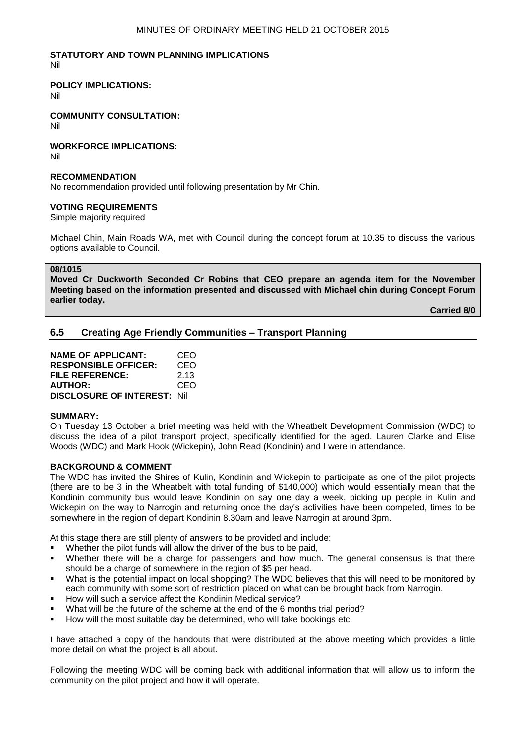#### **STATUTORY AND TOWN PLANNING IMPLICATIONS** Nil

## **POLICY IMPLICATIONS:**

Nil

**COMMUNITY CONSULTATION:** Nil

**WORKFORCE IMPLICATIONS:** Nil

#### **RECOMMENDATION**

No recommendation provided until following presentation by Mr Chin.

## **VOTING REQUIREMENTS**

Simple majority required

Michael Chin, Main Roads WA, met with Council during the concept forum at 10.35 to discuss the various options available to Council.

## **08/1015**

**Moved Cr Duckworth Seconded Cr Robins that CEO prepare an agenda item for the November Meeting based on the information presented and discussed with Michael chin during Concept Forum earlier today.**

**Carried 8/0**

## **6.5 Creating Age Friendly Communities – Transport Planning**

| <b>NAME OF APPLICANT:</b>           | CEO  |
|-------------------------------------|------|
| <b>RESPONSIBLE OFFICER:</b>         | CEO  |
| FILE REFERENCE:                     | 2.13 |
| <b>AUTHOR:</b>                      | CEO  |
| <b>DISCLOSURE OF INTEREST: Nill</b> |      |

## **SUMMARY:**

On Tuesday 13 October a brief meeting was held with the Wheatbelt Development Commission (WDC) to discuss the idea of a pilot transport project, specifically identified for the aged. Lauren Clarke and Elise Woods (WDC) and Mark Hook (Wickepin), John Read (Kondinin) and I were in attendance.

## **BACKGROUND & COMMENT**

The WDC has invited the Shires of Kulin, Kondinin and Wickepin to participate as one of the pilot projects (there are to be 3 in the Wheatbelt with total funding of \$140,000) which would essentially mean that the Kondinin community bus would leave Kondinin on say one day a week, picking up people in Kulin and Wickepin on the way to Narrogin and returning once the day's activities have been competed, times to be somewhere in the region of depart Kondinin 8.30am and leave Narrogin at around 3pm.

At this stage there are still plenty of answers to be provided and include:

- Whether the pilot funds will allow the driver of the bus to be paid.
- Whether there will be a charge for passengers and how much. The general consensus is that there should be a charge of somewhere in the region of \$5 per head.
- What is the potential impact on local shopping? The WDC believes that this will need to be monitored by each community with some sort of restriction placed on what can be brought back from Narrogin.
- How will such a service affect the Kondinin Medical service?
- What will be the future of the scheme at the end of the 6 months trial period?
- How will the most suitable day be determined, who will take bookings etc.

I have attached a copy of the handouts that were distributed at the above meeting which provides a little more detail on what the project is all about.

Following the meeting WDC will be coming back with additional information that will allow us to inform the community on the pilot project and how it will operate.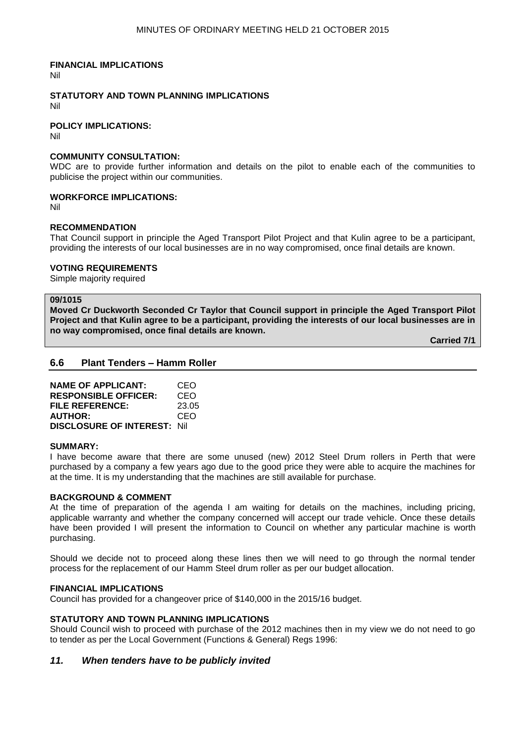## **FINANCIAL IMPLICATIONS**

Nil

**STATUTORY AND TOWN PLANNING IMPLICATIONS** Nil

#### **POLICY IMPLICATIONS:**

Nil

#### **COMMUNITY CONSULTATION:**

WDC are to provide further information and details on the pilot to enable each of the communities to publicise the project within our communities.

## **WORKFORCE IMPLICATIONS:**

Nil

## **RECOMMENDATION**

That Council support in principle the Aged Transport Pilot Project and that Kulin agree to be a participant, providing the interests of our local businesses are in no way compromised, once final details are known.

## **VOTING REQUIREMENTS**

Simple majority required

#### **09/1015**

**Moved Cr Duckworth Seconded Cr Taylor that Council support in principle the Aged Transport Pilot Project and that Kulin agree to be a participant, providing the interests of our local businesses are in no way compromised, once final details are known.**

**Carried 7/1**

## **6.6 Plant Tenders – Hamm Roller**

| <b>NAME OF APPLICANT:</b>           | CEO   |
|-------------------------------------|-------|
| <b>RESPONSIBLE OFFICER:</b>         | CEO   |
| FILE REFERENCE:                     | 23.05 |
| <b>AUTHOR:</b>                      | CEO   |
| <b>DISCLOSURE OF INTEREST: Nill</b> |       |

#### **SUMMARY:**

I have become aware that there are some unused (new) 2012 Steel Drum rollers in Perth that were purchased by a company a few years ago due to the good price they were able to acquire the machines for at the time. It is my understanding that the machines are still available for purchase.

## **BACKGROUND & COMMENT**

At the time of preparation of the agenda I am waiting for details on the machines, including pricing, applicable warranty and whether the company concerned will accept our trade vehicle. Once these details have been provided I will present the information to Council on whether any particular machine is worth purchasing.

Should we decide not to proceed along these lines then we will need to go through the normal tender process for the replacement of our Hamm Steel drum roller as per our budget allocation.

## **FINANCIAL IMPLICATIONS**

Council has provided for a changeover price of \$140,000 in the 2015/16 budget.

## **STATUTORY AND TOWN PLANNING IMPLICATIONS**

Should Council wish to proceed with purchase of the 2012 machines then in my view we do not need to go to tender as per the Local Government (Functions & General) Regs 1996:

## *11. When tenders have to be publicly invited*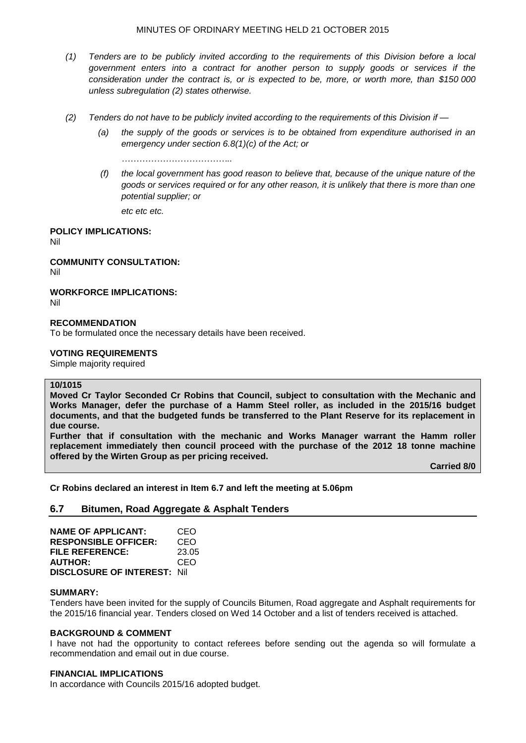## MINUTES OF ORDINARY MEETING HELD 21 OCTOBER 2015

- *(1) Tenders are to be publicly invited according to the requirements of this Division before a local government enters into a contract for another person to supply goods or services if the consideration under the contract is, or is expected to be, more, or worth more, than \$150 000 unless subregulation (2) states otherwise.*
- *(2) Tenders do not have to be publicly invited according to the requirements of this Division if —*
	- *(a) the supply of the goods or services is to be obtained from expenditure authorised in an emergency under section 6.8(1)(c) of the Act; or*

*………………………………..*

*(f) the local government has good reason to believe that, because of the unique nature of the goods or services required or for any other reason, it is unlikely that there is more than one potential supplier; or*

*etc etc etc.*

## **POLICY IMPLICATIONS:**

Nil

## **COMMUNITY CONSULTATION:**

Nil

## **WORKFORCE IMPLICATIONS:**

Nil

## **RECOMMENDATION**

To be formulated once the necessary details have been received.

## **VOTING REQUIREMENTS**

Simple majority required

## **10/1015**

**Moved Cr Taylor Seconded Cr Robins that Council, subject to consultation with the Mechanic and Works Manager, defer the purchase of a Hamm Steel roller, as included in the 2015/16 budget documents, and that the budgeted funds be transferred to the Plant Reserve for its replacement in due course.**

**Further that if consultation with the mechanic and Works Manager warrant the Hamm roller replacement immediately then council proceed with the purchase of the 2012 18 tonne machine offered by the Wirten Group as per pricing received.**

**Carried 8/0**

**Cr Robins declared an interest in Item 6.7 and left the meeting at 5.06pm**

## **6.7 Bitumen, Road Aggregate & Asphalt Tenders**

| <b>NAME OF APPLICANT:</b>           | CEO   |
|-------------------------------------|-------|
| <b>RESPONSIBLE OFFICER:</b>         | CEO   |
| FILE REFERENCE:                     | 23.05 |
| <b>AUTHOR:</b>                      | CEO   |
| <b>DISCLOSURE OF INTEREST: Nill</b> |       |

## **SUMMARY:**

Tenders have been invited for the supply of Councils Bitumen, Road aggregate and Asphalt requirements for the 2015/16 financial year. Tenders closed on Wed 14 October and a list of tenders received is attached.

## **BACKGROUND & COMMENT**

I have not had the opportunity to contact referees before sending out the agenda so will formulate a recommendation and email out in due course.

## **FINANCIAL IMPLICATIONS**

In accordance with Councils 2015/16 adopted budget.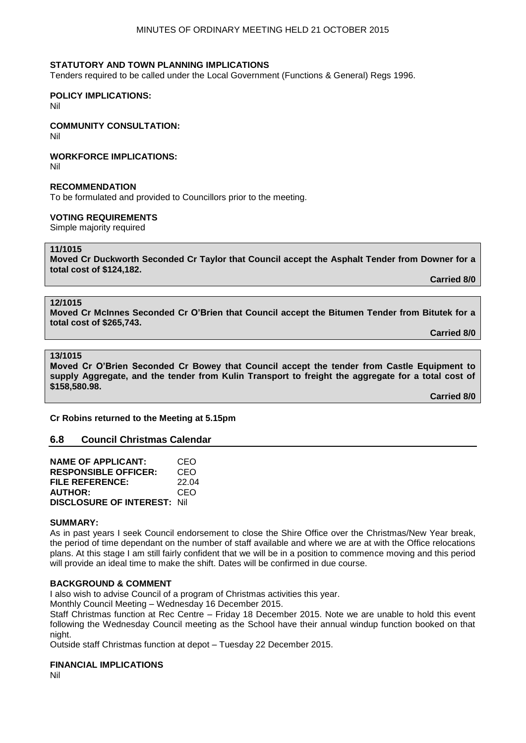## **STATUTORY AND TOWN PLANNING IMPLICATIONS**

Tenders required to be called under the Local Government (Functions & General) Regs 1996.

**POLICY IMPLICATIONS:**

Nil

**COMMUNITY CONSULTATION:**

Nil

**WORKFORCE IMPLICATIONS:**

Nil

## **RECOMMENDATION**

To be formulated and provided to Councillors prior to the meeting.

## **VOTING REQUIREMENTS**

Simple majority required

## **11/1015**

**Moved Cr Duckworth Seconded Cr Taylor that Council accept the Asphalt Tender from Downer for a total cost of \$124,182.**

**Carried 8/0**

## **12/1015**

**Moved Cr McInnes Seconded Cr O'Brien that Council accept the Bitumen Tender from Bitutek for a total cost of \$265,743.**

**Carried 8/0**

## **13/1015**

**Moved Cr O'Brien Seconded Cr Bowey that Council accept the tender from Castle Equipment to supply Aggregate, and the tender from Kulin Transport to freight the aggregate for a total cost of \$158,580.98.**

**Carried 8/0**

**Cr Robins returned to the Meeting at 5.15pm**

## **6.8 Council Christmas Calendar**

| <b>NAME OF APPLICANT:</b>           | CEO   |
|-------------------------------------|-------|
| <b>RESPONSIBLE OFFICER:</b>         | CEO   |
| <b>FILE REFERENCE:</b>              | 22.04 |
| <b>AUTHOR:</b>                      | CEO   |
| <b>DISCLOSURE OF INTEREST: Nill</b> |       |

## **SUMMARY:**

As in past years I seek Council endorsement to close the Shire Office over the Christmas/New Year break, the period of time dependant on the number of staff available and where we are at with the Office relocations plans. At this stage I am still fairly confident that we will be in a position to commence moving and this period will provide an ideal time to make the shift. Dates will be confirmed in due course.

## **BACKGROUND & COMMENT**

I also wish to advise Council of a program of Christmas activities this year.

Monthly Council Meeting – Wednesday 16 December 2015.

Staff Christmas function at Rec Centre – Friday 18 December 2015. Note we are unable to hold this event following the Wednesday Council meeting as the School have their annual windup function booked on that night.

Outside staff Christmas function at depot – Tuesday 22 December 2015.

## **FINANCIAL IMPLICATIONS**

Nil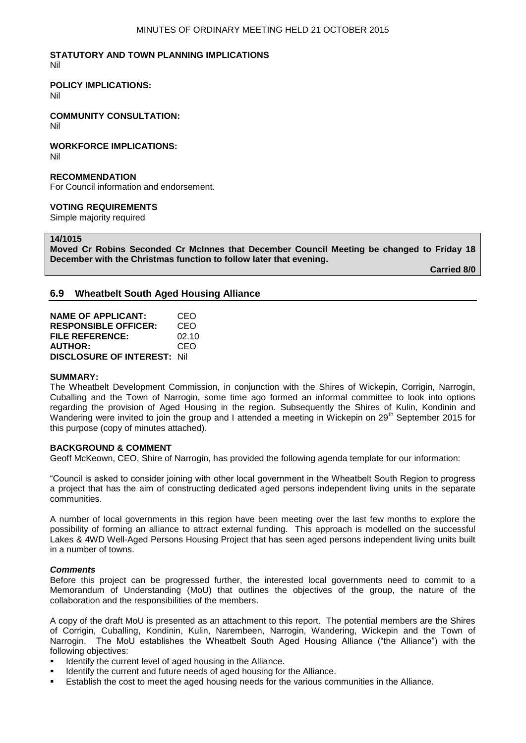#### **STATUTORY AND TOWN PLANNING IMPLICATIONS** Nil

**POLICY IMPLICATIONS:**

Nil

**COMMUNITY CONSULTATION:** Nil

**WORKFORCE IMPLICATIONS:** Nil

#### **RECOMMENDATION**

For Council information and endorsement.

## **VOTING REQUIREMENTS**

Simple majority required

## **14/1015**

**Moved Cr Robins Seconded Cr McInnes that December Council Meeting be changed to Friday 18 December with the Christmas function to follow later that evening.**

**Carried 8/0**

## **6.9 Wheatbelt South Aged Housing Alliance**

| <b>NAME OF APPLICANT:</b>           | CEO   |
|-------------------------------------|-------|
| <b>RESPONSIBLE OFFICER:</b>         | CEO   |
| FILE REFERENCE:                     | 02.10 |
| <b>AUTHOR:</b>                      | CEO   |
| <b>DISCLOSURE OF INTEREST: Nill</b> |       |

#### **SUMMARY:**

The Wheatbelt Development Commission, in conjunction with the Shires of Wickepin, Corrigin, Narrogin, Cuballing and the Town of Narrogin, some time ago formed an informal committee to look into options regarding the provision of Aged Housing in the region. Subsequently the Shires of Kulin, Kondinin and Wandering were invited to join the group and I attended a meeting in Wickepin on 29<sup>th</sup> September 2015 for this purpose (copy of minutes attached).

## **BACKGROUND & COMMENT**

Geoff McKeown, CEO, Shire of Narrogin, has provided the following agenda template for our information:

"Council is asked to consider joining with other local government in the Wheatbelt South Region to progress a project that has the aim of constructing dedicated aged persons independent living units in the separate communities.

A number of local governments in this region have been meeting over the last few months to explore the possibility of forming an alliance to attract external funding. This approach is modelled on the successful Lakes & 4WD Well-Aged Persons Housing Project that has seen aged persons independent living units built in a number of towns.

## *Comments*

Before this project can be progressed further, the interested local governments need to commit to a Memorandum of Understanding (MoU) that outlines the objectives of the group, the nature of the collaboration and the responsibilities of the members.

A copy of the draft MoU is presented as an attachment to this report. The potential members are the Shires of Corrigin, Cuballing, Kondinin, Kulin, Narembeen, Narrogin, Wandering, Wickepin and the Town of Narrogin. The MoU establishes the Wheatbelt South Aged Housing Alliance ("the Alliance") with the following objectives:

- Identify the current level of aged housing in the Alliance.
- Identify the current and future needs of aged housing for the Alliance.
- Establish the cost to meet the aged housing needs for the various communities in the Alliance.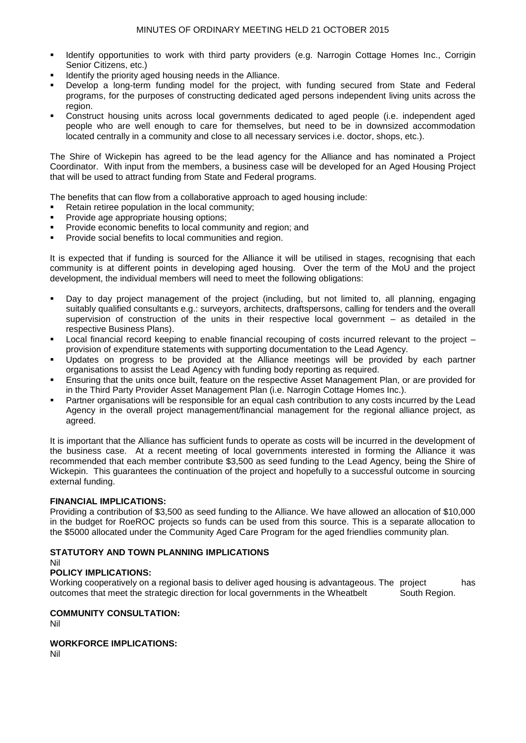- Identify opportunities to work with third party providers (e.g. Narrogin Cottage Homes Inc., Corrigin Senior Citizens, etc.)
- Identify the priority aged housing needs in the Alliance.
- Develop a long-term funding model for the project, with funding secured from State and Federal programs, for the purposes of constructing dedicated aged persons independent living units across the region.
- Construct housing units across local governments dedicated to aged people (i.e. independent aged people who are well enough to care for themselves, but need to be in downsized accommodation located centrally in a community and close to all necessary services i.e. doctor, shops, etc.).

The Shire of Wickepin has agreed to be the lead agency for the Alliance and has nominated a Project Coordinator. With input from the members, a business case will be developed for an Aged Housing Project that will be used to attract funding from State and Federal programs.

The benefits that can flow from a collaborative approach to aged housing include:

- Retain retiree population in the local community;
- Provide age appropriate housing options;
- Provide economic benefits to local community and region; and
- Provide social benefits to local communities and region.

It is expected that if funding is sourced for the Alliance it will be utilised in stages, recognising that each community is at different points in developing aged housing. Over the term of the MoU and the project development, the individual members will need to meet the following obligations:

- Day to day project management of the project (including, but not limited to, all planning, engaging suitably qualified consultants e.g.: surveyors, architects, draftspersons, calling for tenders and the overall supervision of construction of the units in their respective local government – as detailed in the respective Business Plans).
- Local financial record keeping to enable financial recouping of costs incurred relevant to the project provision of expenditure statements with supporting documentation to the Lead Agency.
- Updates on progress to be provided at the Alliance meetings will be provided by each partner organisations to assist the Lead Agency with funding body reporting as required.
- Ensuring that the units once built, feature on the respective Asset Management Plan, or are provided for in the Third Party Provider Asset Management Plan (i.e. Narrogin Cottage Homes Inc.).
- Partner organisations will be responsible for an equal cash contribution to any costs incurred by the Lead Agency in the overall project management/financial management for the regional alliance project, as agreed.

It is important that the Alliance has sufficient funds to operate as costs will be incurred in the development of the business case. At a recent meeting of local governments interested in forming the Alliance it was recommended that each member contribute \$3,500 as seed funding to the Lead Agency, being the Shire of Wickepin. This guarantees the continuation of the project and hopefully to a successful outcome in sourcing external funding.

## **FINANCIAL IMPLICATIONS:**

Providing a contribution of \$3,500 as seed funding to the Alliance. We have allowed an allocation of \$10,000 in the budget for RoeROC projects so funds can be used from this source. This is a separate allocation to the \$5000 allocated under the Community Aged Care Program for the aged friendlies community plan.

## **STATUTORY AND TOWN PLANNING IMPLICATIONS**

## Nil

## **POLICY IMPLICATIONS:**

Working cooperatively on a regional basis to deliver aged housing is advantageous. The project has outcomes that meet the strategic direction for local governments in the Wheatbelt South Region.

## **COMMUNITY CONSULTATION:**

Nil

## **WORKFORCE IMPLICATIONS:**

Nil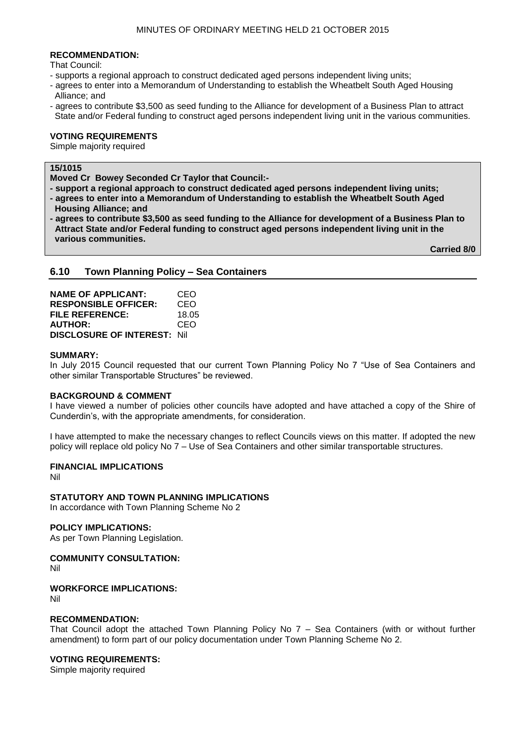## **RECOMMENDATION:**

That Council:

- supports a regional approach to construct dedicated aged persons independent living units;
- agrees to enter into a Memorandum of Understanding to establish the Wheatbelt South Aged Housing Alliance; and
- agrees to contribute \$3,500 as seed funding to the Alliance for development of a Business Plan to attract State and/or Federal funding to construct aged persons independent living unit in the various communities.

#### **VOTING REQUIREMENTS**

Simple majority required

## **15/1015**

**Moved Cr Bowey Seconded Cr Taylor that Council:-**

- **- support a regional approach to construct dedicated aged persons independent living units;**
- **- agrees to enter into a Memorandum of Understanding to establish the Wheatbelt South Aged Housing Alliance; and**
- **- agrees to contribute \$3,500 as seed funding to the Alliance for development of a Business Plan to Attract State and/or Federal funding to construct aged persons independent living unit in the various communities.**

**Carried 8/0**

## **6.10 Town Planning Policy – Sea Containers**

**NAME OF APPLICANT:** CEO **RESPONSIBLE OFFICER:** CEO **FILE REFERENCE:** 18.05 **AUTHOR:** CEO **DISCLOSURE OF INTEREST:** Nil

#### **SUMMARY:**

In July 2015 Council requested that our current Town Planning Policy No 7 "Use of Sea Containers and other similar Transportable Structures" be reviewed.

## **BACKGROUND & COMMENT**

I have viewed a number of policies other councils have adopted and have attached a copy of the Shire of Cunderdin's, with the appropriate amendments, for consideration.

I have attempted to make the necessary changes to reflect Councils views on this matter. If adopted the new policy will replace old policy No 7 – Use of Sea Containers and other similar transportable structures.

## **FINANCIAL IMPLICATIONS**

Nil

## **STATUTORY AND TOWN PLANNING IMPLICATIONS**

In accordance with Town Planning Scheme No 2

## **POLICY IMPLICATIONS:**

As per Town Planning Legislation.

## **COMMUNITY CONSULTATION:**

Nil

## **WORKFORCE IMPLICATIONS:**

Nil

## **RECOMMENDATION:**

That Council adopt the attached Town Planning Policy No 7 – Sea Containers (with or without further amendment) to form part of our policy documentation under Town Planning Scheme No 2.

## **VOTING REQUIREMENTS:**

Simple majority required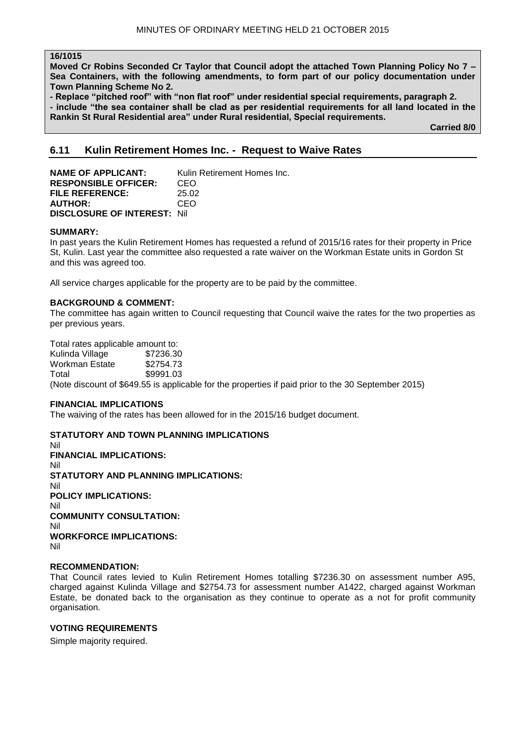#### **16/1015**

**Moved Cr Robins Seconded Cr Taylor that Council adopt the attached Town Planning Policy No 7 – Sea Containers, with the following amendments, to form part of our policy documentation under Town Planning Scheme No 2.**

**- Replace "pitched roof" with "non flat roof" under residential special requirements, paragraph 2. - include "the sea container shall be clad as per residential requirements for all land located in the Rankin St Rural Residential area" under Rural residential, Special requirements.**

**Carried 8/0**

## **6.11 Kulin Retirement Homes Inc. - Request to Waive Rates**

**NAME OF APPLICANT:** Kulin Retirement Homes Inc. **RESPONSIBLE OFFICER:** CEO **FILE REFERENCE:** 25.02 **AUTHOR:** CEO **DISCLOSURE OF INTEREST:** Nil

## **SUMMARY:**

In past years the Kulin Retirement Homes has requested a refund of 2015/16 rates for their property in Price St, Kulin. Last year the committee also requested a rate waiver on the Workman Estate units in Gordon St and this was agreed too.

All service charges applicable for the property are to be paid by the committee.

## **BACKGROUND & COMMENT:**

The committee has again written to Council requesting that Council waive the rates for the two properties as per previous years.

Total rates applicable amount to:

Kulinda Village \$7236.30 Workman Estate \$2754.73 Total \$9991.03 (Note discount of \$649.55 is applicable for the properties if paid prior to the 30 September 2015)

## **FINANCIAL IMPLICATIONS**

The waiving of the rates has been allowed for in the 2015/16 budget document.

**STATUTORY AND TOWN PLANNING IMPLICATIONS**

Nil **FINANCIAL IMPLICATIONS:** Nil **STATUTORY AND PLANNING IMPLICATIONS:**  Nil **POLICY IMPLICATIONS:** Nil **COMMUNITY CONSULTATION:** Nil **WORKFORCE IMPLICATIONS:** Nil

## **RECOMMENDATION:**

That Council rates levied to Kulin Retirement Homes totalling \$7236.30 on assessment number A95, charged against Kulinda Village and \$2754.73 for assessment number A1422, charged against Workman Estate, be donated back to the organisation as they continue to operate as a not for profit community organisation.

## **VOTING REQUIREMENTS**

Simple majority required.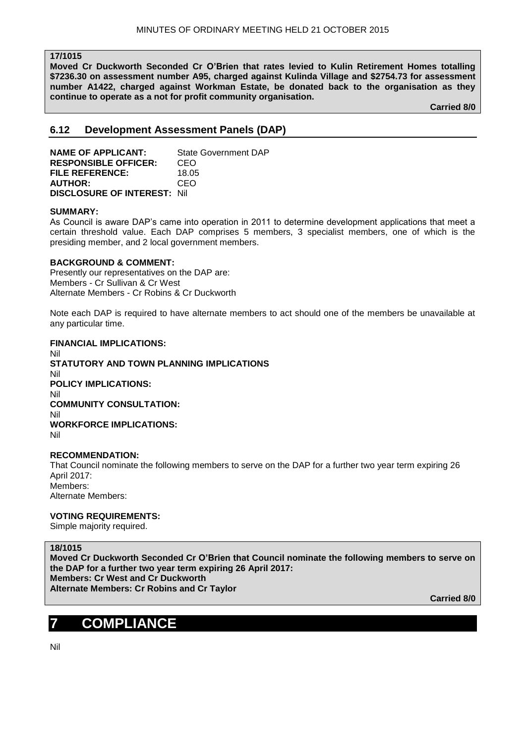## **17/1015**

**Moved Cr Duckworth Seconded Cr O'Brien that rates levied to Kulin Retirement Homes totalling \$7236.30 on assessment number A95, charged against Kulinda Village and \$2754.73 for assessment number A1422, charged against Workman Estate, be donated back to the organisation as they continue to operate as a not for profit community organisation.**

**Carried 8/0**

## **6.12 Development Assessment Panels (DAP)**

**NAME OF APPLICANT:** State Government DAP **RESPONSIBLE OFFICER:** CEO **FILE REFERENCE:** 18.05 **AUTHOR:** CEO **DISCLOSURE OF INTEREST:** Nil

## **SUMMARY:**

As Council is aware DAP's came into operation in 2011 to determine development applications that meet a certain threshold value. Each DAP comprises 5 members, 3 specialist members, one of which is the presiding member, and 2 local government members.

## **BACKGROUND & COMMENT:**

Presently our representatives on the DAP are: Members - Cr Sullivan & Cr West Alternate Members - Cr Robins & Cr Duckworth

Note each DAP is required to have alternate members to act should one of the members be unavailable at any particular time.

## **FINANCIAL IMPLICATIONS:**

Nil **STATUTORY AND TOWN PLANNING IMPLICATIONS** Nil **POLICY IMPLICATIONS:** Nil **COMMUNITY CONSULTATION:** Nil **WORKFORCE IMPLICATIONS:** Nil

## **RECOMMENDATION:**

That Council nominate the following members to serve on the DAP for a further two year term expiring 26 April 2017: Members: Alternate Members:

## **VOTING REQUIREMENTS:**

Simple majority required.

## **18/1015**

**Moved Cr Duckworth Seconded Cr O'Brien that Council nominate the following members to serve on the DAP for a further two year term expiring 26 April 2017: Members: Cr West and Cr Duckworth Alternate Members: Cr Robins and Cr Taylor**

**Carried 8/[0](file:///C:/Users/marie/Desktop/Councillors/February%202011/Attachments%20Feb11/Attachment%201.pdf)**

# **7 COMPLIANCE**